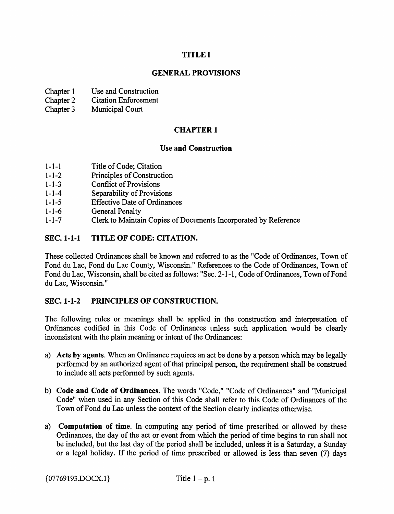## TITLE I

### GENERAL PROVISIONS

- Chapter 1 Use and Construction
- Chapter 2 Citation Enforcement
- Chapter 3 Municipal Court

## CHAPTER 1

#### Use and Construction

- 1-1-1 Title of Code; Citation
- 1-1-2 Principles of Construction
- 1-1-3 Conflict of Provisions
- 1-1-4 Separability of Provisions
- 1-1-5 Effective Date of Ordinances
- 1-1-6 General Penalty
- 1-1-7 Clerk to Maintain Copies of Documents Incorporated by Reference

#### SEC. 1-1-1 TITLE OF CODE: CITATION.

These collected Ordinances shall be known and referred to as the "Code of Ordinances, Town of Fond du Lac, Fond du Lac County, Wisconsin." References to the Code of Ordinances, Town of Fond du Lac, Wisconsin, shall be cited as follows: "Sec. 2-1-1, Code of Ordinances, Town of Fond du Lac, Wisconsin."

#### SEC. 1-1-2 PRINCIPLES OF CONSTRUCTION.

The following rules or meanings shall be applied in the construction and interpretation of Ordinances codified in this Code of Ordinances unless such application would be clearly inconsistent with the plain meaning or intent of the Ordinances:

- a) Acts by agents. When an Ordinance requires an act be done by a person which may be legally performed by an authorized agent of that principal person, the requirement shall be construed to include all acts performed by such agents.
- b) Code and Code of Ordinances. The words "Code," "Code of Ordinances" and "Municipal Code" when used in any Section of this Code shall refer to this Code of Ordinances of the Town of Fond du Lac unless the context of the Section clearly indicates otherwise.
- a) Computation of time. In computing any period of time prescribed or allowed by these Ordinances, the day of the act or event from which the period of time begins to run shall not be included, but the last day of the period shall be included, unless it is a Saturday, a Sunday or a legal holiday. If the period of time prescribed or allowed is less than seven (7) days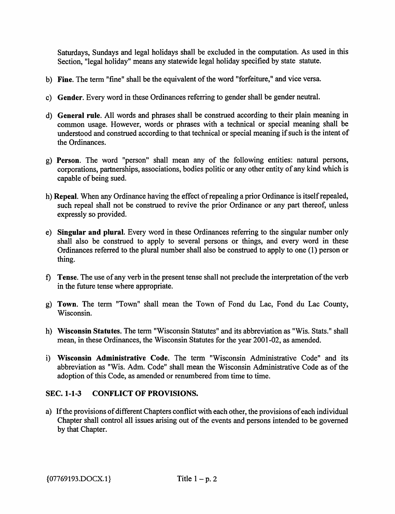Saturdays, Sundays and legal holidays shall be excluded in the computation. As used in this Section, "legal holiday" means any statewide legal holiday specified by state statute.

- b) Fine. The term "fine" shall be the equivalent of the word "forfeiture," and vice versa.
- c) Gender. Every word in these Ordinances referring to gender shall be gender neutral.
- d) General rule. All words and phrases shall be construed according to their plain meaning in common usage. However, words or phrases with a technical or special meaning shall be understood and construed according to that technical or special meaning if such is the intent of the Ordinances.
- g) Person. The word "person" shall mean any of the following entities: natural persons, corporations, partnerships, associations, bodies politic or any other entity of any kind which is capable of being sued.
- h) Repeal. When any Ordinance having the effect of repealing a prior Ordinance is itself repealed, such repeal shall not be construed to revive the prior Ordinance or any part thereof, unless expressly so provided.
- e) Singular and plural. Every word in these Ordinances referring to the singular number only shall also be construed to apply to several persons or things, and every word in these Ordinances referred to the plural number shall also be construed to apply to one (1) person or thing.
- f) Tense. The use of any verb in the present tense shall not preclude the interpretation of the verb in the future tense where appropriate.
- g) Town. The term "Town" shall mean the Town of Fond du Lac, Fond du Lac County, Wisconsin.
- h) Wisconsin Statutes. The term "Wisconsin Statutes" and its abbreviation as "Wis. Stats." shall mean, in these Ordinances, the Wisconsin Statutes for the year 2001-02, as amended.
- i) Wisconsin Administrative Code. The term "Wisconsin Administrative Code" and its abbreviation as "Wis. Adm. Code" shall mean the Wisconsin Administrative Code as of the adoption of this Code, as amended or renumbered from time to time.

## SEC. 1-1-3 CONFLICT OF PROVISIONS.

a) If the provisions of different Chapters conflict with each other, the provisions of each individual Chapter shall control all issues arising out of the events and persons intended to be governed by that Chapter.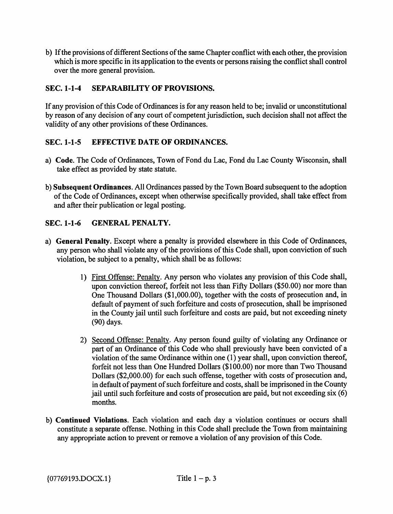b) If the provisions of different Sections of the same Chapter conflict with each other, the provision which is more specific in its application to the events or persons raising the conflict shall control over the more general provision.

## SEC. 1-1-4 SEPARABILITY OF PROVISIONS.

If any provision of this Code of Ordinances is for any reason held to be; invalid or unconstitutional by reason of any decision of any court of competent jurisdiction, such decision shall not affect the validity of any other provisions of these Ordinances.

## SEC. 1-1-5 EFFECTIVE DATE OF ORDINANCES.

- a) Code. The Code of Ordinances, Town of Fond du Lac, Fond du Lac County Wisconsin, shall take effect as provided by state statute.
- b) Subsequent Ordinances. All Ordinances passed by the Town Board subsequent to the adoption of the Code of Ordinances, except when otherwise specifically provided, shall take effect from and after their publication or legal posting.

## SEC. 1-1-6 GENERAL PENALTY.

- a) General Penalty. Except where a penalty is provided elsewhere in this Code of Ordinances, any person who shall violate any of the provisions of this Code shall, upon conviction of such violation, be subject to a penalty, which shall be as follows:
	- 1) First Offense: Penalty. Any person who violates any provision of this Code shall, upon conviction thereof, forfeit not less than Fifty Dollars (\$50.00) nor more than One Thousand Dollars (\$1,000.00), together with the costs of prosecution and, in default of payment of such forfeiture and costs of prosecution, shall be imprisoned in the County jail until such forfeiture and costs are paid, but not exceeding ninety (90) days.
	- 2) Second Offense: Penalty. Any person found guilty of violating any Ordinance or part of an Ordinance of this Code who shall previously have been convicted of a violation of the same Ordinance within one (1) year shall, upon conviction thereof, forfeit not less than One Hundred Dollars (\$100.00) nor more than Two Thousand Dollars (\$2,000.00) for each such offense, together with costs of prosecution and, in default of payment of such forfeiture and costs, shall be imprisoned in the County jail until such forfeiture and costs of prosecution are paid, but not exceeding six (6) months.
- b) Continued Violations. Each violation and each day a violation continues or occurs shall constitute a separate offense. Nothing in this Code shall preclude the Town from maintaining any appropriate action to prevent or remove a violation of any provision of this Code.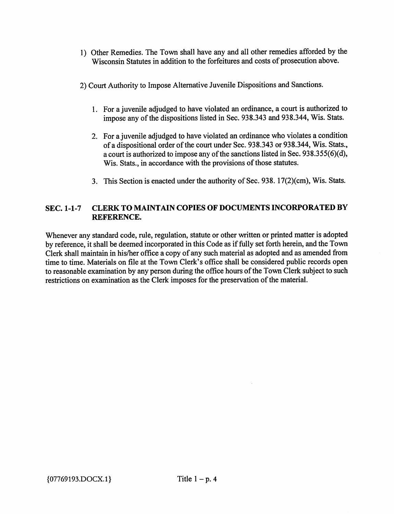- 1) Other Remedies. The Town shall have any and all other remedies afforded by the Wisconsin Statutes in addition to the forfeitures and costs of prosecution above.
- 2) Court Authority to Impose Alternative Juvenile Dispositions and Sanctions.
	- 1. For a juvenile adjudged to have violated an ordinance, a court is authorized to impose any of the dispositions listed in Sec. 938.343 and 938.344, Wis. Stats.
	- 2. For a juvenile adjudged to have violated an ordinance who violates a condition of a dispositional order of the court under Sec. 938.343 or 938.344, Wis. Stats., a court is authorized to impose any of the sanctions listed in Sec. 938.355(6)(d), Wis. Stats., in accordance with the provisions of those statutes.
	- 3. This Section is enacted under the authority of Sec. 938.17(2)(cm), Wis. Stats.

### SEC. 1-1-7 CLERK TO MAINTAIN COPIES OF DOCUMENTS INCORPORATED BY REFERENCE.

Whenever any standard code, rule, regulation, statute or other written or printed matter is adopted by reference, it shall be deemed incorporated in this Code as if fully set forth herein, and the Town Clerk shall maintain in his/her office a copy of any such material as adopted and as amended from time to time. Materials on file at the Town Clerk's office shall be considered public records open to reasonable examination by any person during the office hours of the Town Clerk subject to such restrictions on examination as the Clerk imposes for the preservation of the material.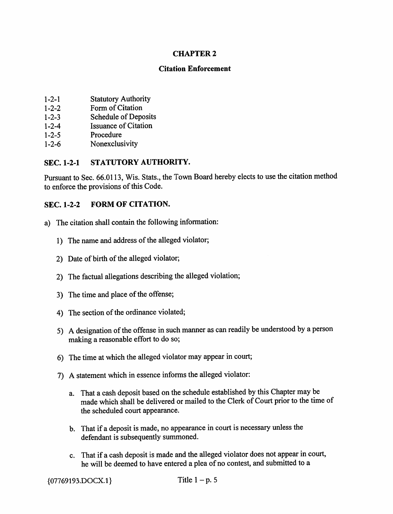### CHAPTER 2

#### Citation Enforcement

- 1 -2-1 Statutory Authority
- 1 -2-2 Form of Citation
- 1-2-3 Schedule of Deposits
- 1-2-4 Issuance of Citation
- 1-2-5 Procedure
- 1-2-6 Nonexclusivity

## SEC. 1-2-1 STATUTORY AUTHORITY.

Pursuant to Sec. 66.0113, Wis. Stats., the Town Board hereby elects to use the citation method to enforce the provisions of this Code.

### SEC. 1-2-2 FORM OF CITATION.

- a) The citation shall contain the following information:
	- 1) The name and address of the alleged violator;
	- 2) Date of birth of the alleged violator;
	- 2) The factual allegations describing the alleged violation;
	- 3) The time and place of the offense;
	- 4) The section of the ordinance violated;
	- 5) A designation of the offense in such marmer as can readily be understood by a person making a reasonable effort to do so;
	- 6) The time at which the alleged violator may appear in court;
	- 7) A statement which in essence informs the alleged violator:
		- a. That a cash deposit based on the schedule established by this Chapter may be made which shall be delivered or mailed to the Clerk of Court prior to the time of the scheduled court appearance.
		- b. That if a deposit is made, no appearance in court is necessary unless the defendant is subsequently summoned.
		- c. That if a cash deposit is made and the alleged violator does not appear in court, he will be deemed to have entered a plea of no contest, and submitted to a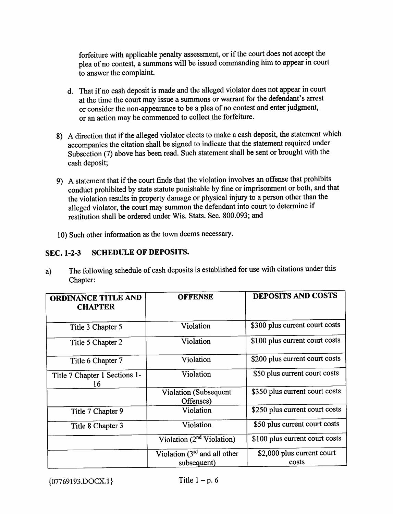forfeiture with applicable penalty assessment, or if the court does not accept the plea of no contest, a summons will be issued commanding him to appear in court to answer the complaint.

- d. That if no cash deposit is made and the alleged violator does not appear in court at the time the court may issue a summons or warrant for the defendant's arrest or consider the non-appearance to be a plea of no contest and enter judgment, or an action may be commenced to collect the forfeiture.
- 8) A direction that if the alleged violator elects to make a cash deposit, the statement which accompanies the citation shall be signed to indicate that the statement required under Subsection (7) above has been read. Such statement shall be sent or brought with the cash deposit;
- 9) A statement that if the court finds that the violation involves an offense that prohibits conduct prohibited by state statute punishable by fine or imprisonment or both, and that the violation results in property damage or physical injury to a person other than the alleged violator, the court may summon the defendant into court to determine if restitution shall be ordered under Wis. Stats. Sec. 800.093; and
- 10) Such other information as the town deems necessary.

#### SEC. 1-2-3 SCHEDULE OF DEPOSITS.

a) The following schedule of cash deposits is established for use with citations under this Chapter:

| <b>ORDINANCE TITLE AND</b><br><b>CHAPTER</b> | <b>OFFENSE</b>                                | <b>DEPOSITS AND COSTS</b>           |
|----------------------------------------------|-----------------------------------------------|-------------------------------------|
| Title 3 Chapter 5                            | Violation                                     | \$300 plus current court costs      |
| Title 5 Chapter 2                            | Violation                                     | \$100 plus current court costs      |
| Title 6 Chapter 7                            | Violation                                     | \$200 plus current court costs      |
| Title 7 Chapter 1 Sections 1-<br>16          | Violation                                     | \$50 plus current court costs       |
|                                              | <b>Violation</b> (Subsequent<br>Offenses)     | \$350 plus current court costs      |
| Title 7 Chapter 9                            | Violation                                     | \$250 plus current court costs      |
| Violation<br>Title 8 Chapter 3               |                                               | \$50 plus current court costs       |
|                                              | Violation $(2nd$ Violation)                   | \$100 plus current court costs      |
|                                              | Violation $(3rd$ and all other<br>subsequent) | \$2,000 plus current court<br>costs |

 ${07769193. DOCX.1}$  Title 1 - p. 6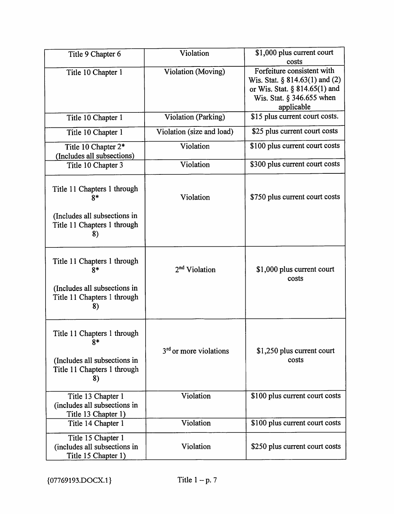| Title 9 Chapter 6                                                                                        | Violation                          | \$1,000 plus current court                                                                                                                              |
|----------------------------------------------------------------------------------------------------------|------------------------------------|---------------------------------------------------------------------------------------------------------------------------------------------------------|
| Title 10 Chapter 1                                                                                       | <b>Violation</b> (Moving)          | costs<br>Forfeiture consistent with<br>Wis. Stat. $\S 814.63(1)$ and (2)<br>or Wis. Stat. § 814.65(1) and<br>Wis. Stat. $\S$ 346.655 when<br>applicable |
| Title 10 Chapter 1                                                                                       | Violation (Parking)                | \$15 plus current court costs.                                                                                                                          |
| Title 10 Chapter 1                                                                                       | Violation (size and load)          | \$25 plus current court costs                                                                                                                           |
| Title 10 Chapter 2*<br>(Includes all subsections)                                                        | Violation                          | \$100 plus current court costs                                                                                                                          |
| Title 10 Chapter 3                                                                                       | Violation                          | \$300 plus current court costs                                                                                                                          |
| Title 11 Chapters 1 through<br>$8*$<br>(Includes all subsections in<br>Title 11 Chapters 1 through       | Violation                          | \$750 plus current court costs                                                                                                                          |
| 8)                                                                                                       |                                    |                                                                                                                                                         |
| Title 11 Chapters 1 through<br>$8*$                                                                      | 2 <sup>nd</sup> Violation          | \$1,000 plus current court<br>costs                                                                                                                     |
| (Includes all subsections in<br>Title 11 Chapters 1 through<br>8)                                        |                                    |                                                                                                                                                         |
| Title 11 Chapters 1 through<br>$8*$<br>(Includes all subsections in<br>Title 11 Chapters 1 through<br>8) | 3 <sup>rd</sup> or more violations | \$1,250 plus current court<br>costs                                                                                                                     |
| Title 13 Chapter 1<br>(includes all subsections in<br>Title 13 Chapter 1)                                | Violation                          | \$100 plus current court costs                                                                                                                          |
| Title 14 Chapter 1                                                                                       | Violation                          | \$100 plus current court costs                                                                                                                          |
| Title 15 Chapter 1<br>(includes all subsections in<br>Title 15 Chapter 1)                                | Violation                          | \$250 plus current court costs                                                                                                                          |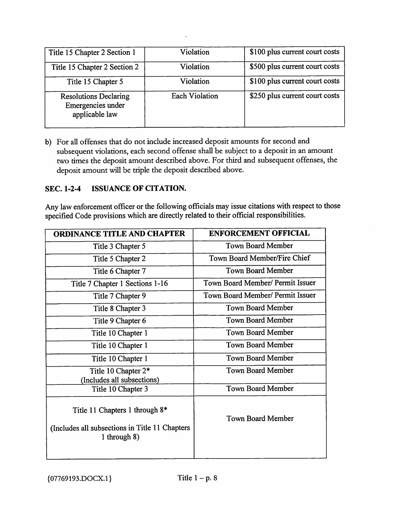| Title 15 Chapter 2 Section 1                                        | Violation             | \$100 plus current court costs |
|---------------------------------------------------------------------|-----------------------|--------------------------------|
| Title 15 Chapter 2 Section 2                                        | Violation             | \$500 plus current court costs |
| Title 15 Chapter 5                                                  | Violation             | \$100 plus current court costs |
| <b>Resolutions Declaring</b><br>Emergencies under<br>applicable law | <b>Each Violation</b> | \$250 plus current court costs |

b) For all offenses that do not include increased deposit amounts for second and subsequent violations, each second offense shall be subject to a deposit in an amount two times the deposit amount described above. For third and subsequent offenses, the deposit amount will be triple the deposit described above.

### SEC. 1-2-4 ISSUANCE OF CITATION.

Any law enforcement officer or the following officials may issue citations with respect to those specified Code provisions which are directly related to their official responsibilities.

| <b>ORDINANCE TITLE AND CHAPTER</b>                                                                               | <b>ENFORCEMENT OFFICIAL</b>      |
|------------------------------------------------------------------------------------------------------------------|----------------------------------|
| Title 3 Chapter 5                                                                                                | <b>Town Board Member</b>         |
| Title 5 Chapter 2                                                                                                | Town Board Member/Fire Chief     |
| Title 6 Chapter 7                                                                                                | <b>Town Board Member</b>         |
| Title 7 Chapter 1 Sections 1-16                                                                                  | Town Board Member/ Permit Issuer |
| Title 7 Chapter 9                                                                                                | Town Board Member/ Permit Issuer |
| Title 8 Chapter 3                                                                                                | <b>Town Board Member</b>         |
| Title 9 Chapter 6                                                                                                | <b>Town Board Member</b>         |
| Title 10 Chapter 1                                                                                               | Town Board Member                |
| Title 10 Chapter 1                                                                                               | <b>Town Board Member</b>         |
| Title 10 Chapter 1                                                                                               | <b>Town Board Member</b>         |
| Title 10 Chapter 2*<br>(Includes all subsections)                                                                | <b>Town Board Member</b>         |
| Title 10 Chapter 3                                                                                               | <b>Town Board Member</b>         |
| Title 11 Chapters 1 through 8 <sup>*</sup><br>(Includes all subsections in Title 11 Chapters)<br>1 through $8$ ) | <b>Town Board Member</b>         |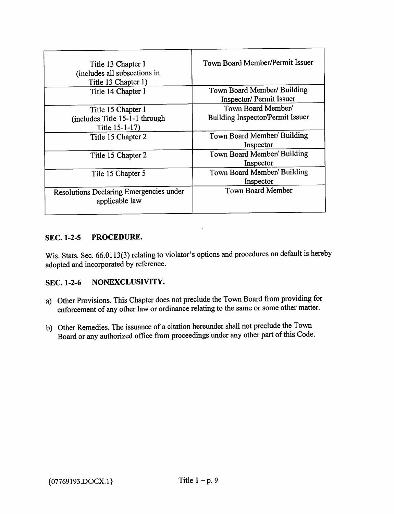| Title 13 Chapter 1<br>(includes all subsections in<br>Title 13 Chapter 1) | Town Board Member/Permit Issuer                               |
|---------------------------------------------------------------------------|---------------------------------------------------------------|
| Title 14 Chapter 1                                                        | Town Board Member/ Building<br><b>Inspector/Permit Issuer</b> |
| Title 15 Chapter 1<br>(includes Title 15-1-1 through<br>Title 15-1-17)    | Town Board Member/<br><b>Building Inspector/Permit Issuer</b> |
| Title 15 Chapter 2                                                        | Town Board Member/ Building<br>Inspector                      |
| Title 15 Chapter 2                                                        | Town Board Member/ Building<br>Inspector                      |
| Tile 15 Chapter 5                                                         | Town Board Member/ Building<br>Inspector                      |
| Resolutions Declaring Emergencies under<br>applicable law                 | <b>Town Board Member</b>                                      |

#### SEC. 1-2-5 PROCEDURE.

Wis. Stats. Sec. 66.0113(3) relating to violator's options and procedures on default is hereby adopted and incorporated by reference.

#### SEC. 1-2-6 NONEXCLUSIVITY.

- a) Other Provisions. This Chapter does not preclude the Town Board from providing for enforcement of any other law or ordinance relating to the same or some other matter.
- b) Other Remedies. The issuance of a citation hereunder shall not preclude the Town Board or any authorized office from proceedings under any other part of this Code.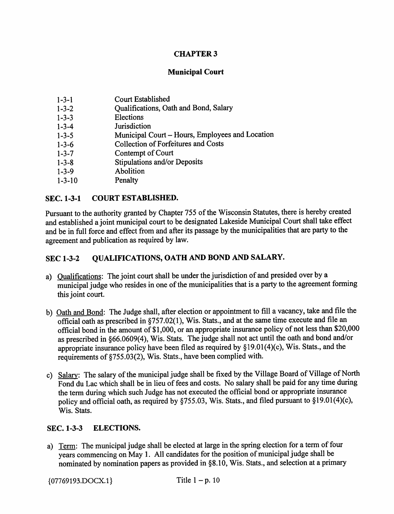### CHAPTER 3

#### Municipal Court

- 1-3-1 Court Established
- 1-3-2 Qualifications, Oath and Bond, Salary<br>1-3-3 Elections
- **Elections**
- 1-3-4 Jurisdiction
- 1-3-5 Municipal Court Hours, Employees and Location
- 1-3-6 Collection of Forfeitures and Costs
- 1-3-7 Contempt of Court
- 1-3-8 Stipulations and/or Deposits
- 1-3-9 Abolition
- 1-3-10 Penalty

#### SEC. 1-3-1 COURT ESTABLISHED.

Pursuant to the authority granted by Chapter 755 of the Wisconsin Statutes, there is hereby created and established a joint municipal court to be designated Lakeside Municipal Court shall take effect and be in full force and effect from and after its passage by the municipalities that are party to the agreement and publication as required by law.

#### SEC 1-3-2 OUALIFICATIONS, OATH AND BOND AND SALARY.

- a) Qualifications: The joint court shall be under the jurisdiction of and presided over by a municipal judge who resides in one of the municipalities that is a party to the agreement forming this joint court.
- b) Oath and Bond: The Judge shall, after election or appointment to fill a vacancy, take and file the official oath as prescribed in §757.02(1), Wis. Stats., and at the same time execute and file an official bond in the amount of \$1,000, or an appropriate insurance policy of not less than \$20,000 as prescribed in §66.0609(4), Wis. Stats. The judge shall not act until the oath and bond and/or appropriate insurance policy have been filed as required by §19.01(4)(c), Wis. Stats., and the requirements of §755.03(2), Wis. Stats., have been complied with.
- c) Salarv: The salary of the municipal judge shall be fixed by the Village Board of Village of North Fond du Lac which shall be in lieu of fees and costs. No salary shall be paid for any time during the term during which such Judge has not executed the official bond or appropriate insurance policy and official oath, as required by §755.03, Wis. Stats., and filed pursuant to §19.01(4)(c), Wis. Stats.

#### SEC. 1-3-3 ELECTIONS.

a) Term: The municipal judge shall be elected at large in the spring election for a term of four years commencing on May 1. All candidates for the position of municipal judge shall be nominated by nomination papers as provided in §8.10, Wis. Stats., and selection at a primary

 ${07769193. DOCX.1}$  Title 1 - p. 10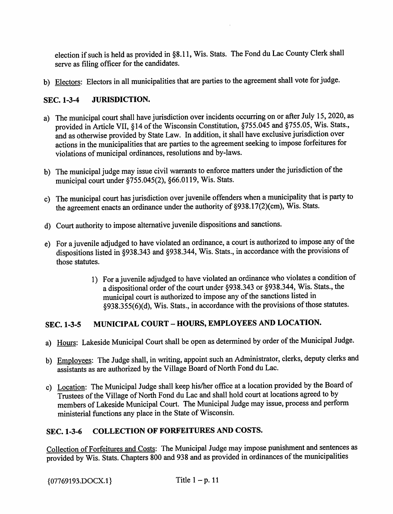election if such is held as provided in §8.11, Wis. Stats. The Fond du Lac County Clerk shall serve as filing officer for the candidates.

b) Electors: Electors in all municipalities that are parties to the agreement shall vote for judge.

## SEC. 1-3-4 JURISDICTION.

- a) The municipal court shall have jurisdiction over incidents occurring on or after July 15, 2020, as provided in Article VII, §14 of the Wisconsin Constitution, §755.045 and §755.05, Wis. Stats., and as otherwise provided by State Law. In addition, it shall have exclusive jurisdiction over actions in the municipalities that are parties to the agreement seeking to impose forfeitures for violations of municipal ordinances, resolutions and by-laws.
- b) The municipal judge may issue civil warrants to enforce matters under the jurisdiction of the municipal court under §755.045(2), §66.0119, Wis. Stats.
- c) The municipal court has jurisdiction over juvenile offenders when a municipality that is party to the agreement enacts an ordinance under the authority of §938.17(2)(cm), Wis. Stats.
- d) Court authority to impose alternative juvenile dispositions and sanctions.
- e) For a juvenile adjudged to have violated an ordinance, a court is authorized to impose any of the dispositions listed in §938.343 and §938.344, Wis. Stats., in accordance with the provisions of those statutes.
	- 1) For a juvenile adjudged to have violated an ordinance who violates a condition of a dispositional order of the court under §938.343 or §938.344, Wis. Stats., the municipal court is authorized to impose any of the sanctions listed in §938.355(6)(d), Wis. Stats., in accordance with the provisions of those statutes.

# SEC. 1-3-5 MUNICIPAL COURT - HOURS, EMPLOYEES AND LOCATION.

- a) Hours: Lakeside Municipal Court shall be open as determined by order of the Municipal Judge.
- b) Employees: The Judge shall, in writing, appoint such an Administrator, clerks, deputy clerks and assistants as are authorized by the Village Board of North Fond du Lac.
- c) Location: The Municipal Judge shall keep his/her office at a location provided by the Board of Trustees of the Village of North Fond du Lac and shall hold court at locations agreed to by members of Lakeside Municipal Court. The Municipal Judge may issue, process and perform ministerial functions any place in the State of Wisconsin.

## SEC. 1-3-6 COLLECTION OF FORFEITURES AND COSTS.

Collection of Forfeitures and Costs: The Municipal Judge may impose punishment and sentences as provided by Wis. Stats. Chapters 800 and 938 and as provided in ordinances of the municipalities

 ${07769193. DOCX.1}$  Title 1 - p. 11